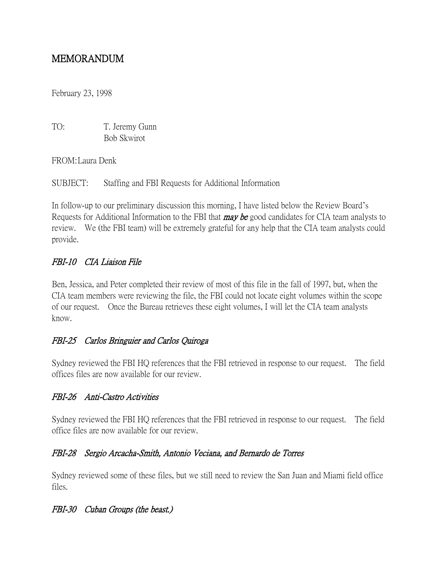# MEMORANDUM

February 23, 1998

TO: T. Jeremy Gunn Bob Skwirot

FROM:Laura Denk

SUBJECT: Staffing and FBI Requests for Additional Information

In follow-up to our preliminary discussion this morning, I have listed below the Review Board's Requests for Additional Information to the FBI that **may be** good candidates for CIA team analysts to review. We (the FBI team) will be extremely grateful for any help that the CIA team analysts could provide.

#### FBI-10 CIA Liaison File

Ben, Jessica, and Peter completed their review of most of this file in the fall of 1997, but, when the CIA team members were reviewing the file, the FBI could not locate eight volumes within the scope of our request. Once the Bureau retrieves these eight volumes, I will let the CIA team analysts know.

#### FBI-25 Carlos Bringuier and Carlos Quiroga

Sydney reviewed the FBI HQ references that the FBI retrieved in response to our request. The field offices files are now available for our review.

## FBI-26 Anti-Castro Activities

Sydney reviewed the FBI HQ references that the FBI retrieved in response to our request. The field office files are now available for our review.

#### FBI-28 Sergio Arcacha-Smith, Antonio Veciana, and Bernardo de Torres

Sydney reviewed some of these files, but we still need to review the San Juan and Miami field office files.

#### FBI-30 Cuban Groups (the beast.)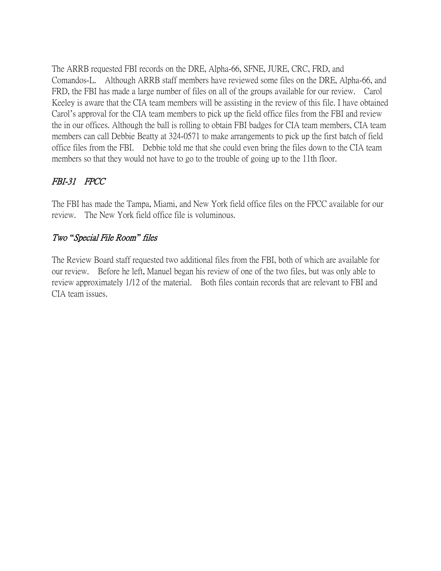The ARRB requested FBI records on the DRE, Alpha-66, SFNE, JURE, CRC, FRD, and Comandos-L. Although ARRB staff members have reviewed some files on the DRE, Alpha-66, and FRD, the FBI has made a large number of files on all of the groups available for our review. Carol Keeley is aware that the CIA team members will be assisting in the review of this file. I have obtained Carol's approval for the CIA team members to pick up the field office files from the FBI and review the in our offices. Although the ball is rolling to obtain FBI badges for CIA team members, CIA team members can call Debbie Beatty at 324-0571 to make arrangements to pick up the first batch of field office files from the FBI. Debbie told me that she could even bring the files down to the CIA team members so that they would not have to go to the trouble of going up to the 11th floor.

## FBI-31 FPCC

The FBI has made the Tampa, Miami, and New York field office files on the FPCC available for our review. The New York field office file is voluminous.

## Two *"*Special File Room*"* files

The Review Board staff requested two additional files from the FBI, both of which are available for our review. Before he left, Manuel began his review of one of the two files, but was only able to review approximately 1/12 of the material. Both files contain records that are relevant to FBI and CIA team issues.